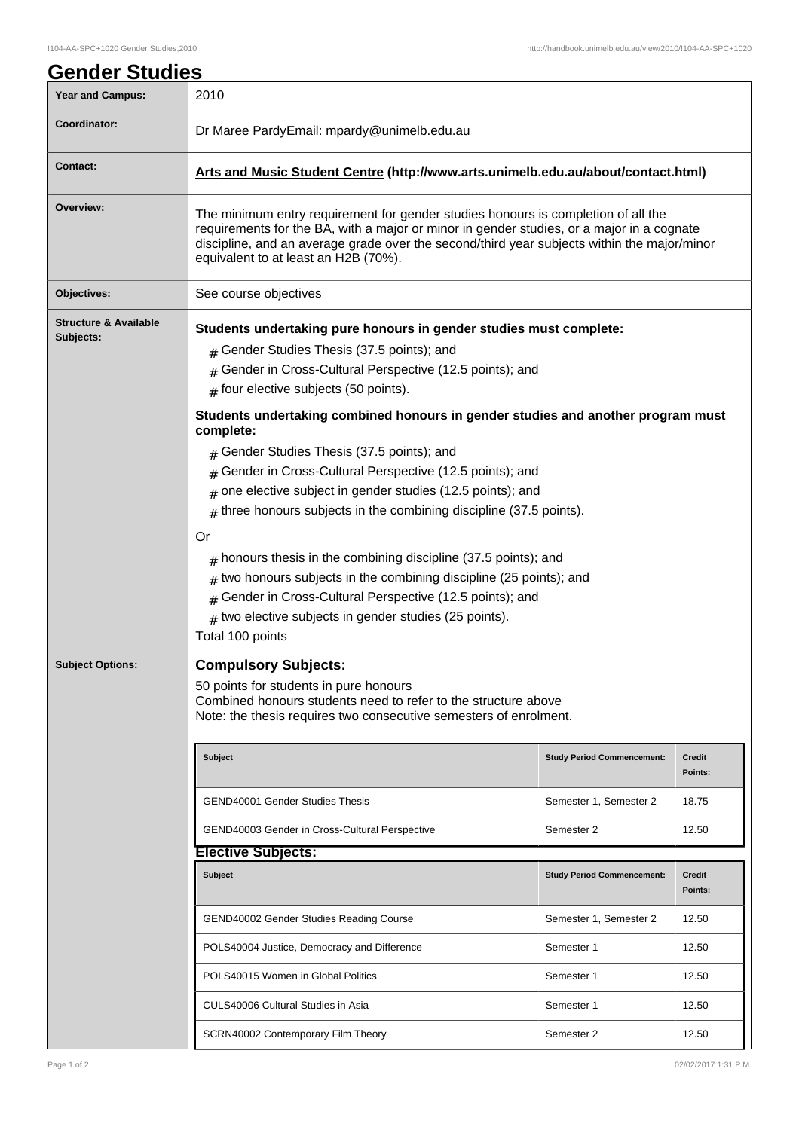| Year and Campus:                              | 2010                                                                                                                                                                                                                                                                                                                  |                                   |                   |  |  |
|-----------------------------------------------|-----------------------------------------------------------------------------------------------------------------------------------------------------------------------------------------------------------------------------------------------------------------------------------------------------------------------|-----------------------------------|-------------------|--|--|
| Coordinator:                                  | Dr Maree PardyEmail: mpardy@unimelb.edu.au                                                                                                                                                                                                                                                                            |                                   |                   |  |  |
| <b>Contact:</b>                               | Arts and Music Student Centre (http://www.arts.unimelb.edu.au/about/contact.html)                                                                                                                                                                                                                                     |                                   |                   |  |  |
| Overview:                                     | The minimum entry requirement for gender studies honours is completion of all the<br>requirements for the BA, with a major or minor in gender studies, or a major in a cognate<br>discipline, and an average grade over the second/third year subjects within the major/minor<br>equivalent to at least an H2B (70%). |                                   |                   |  |  |
| Objectives:                                   | See course objectives                                                                                                                                                                                                                                                                                                 |                                   |                   |  |  |
| <b>Structure &amp; Available</b><br>Subjects: | Students undertaking pure honours in gender studies must complete:                                                                                                                                                                                                                                                    |                                   |                   |  |  |
|                                               | Gender Studies Thesis (37.5 points); and<br>#                                                                                                                                                                                                                                                                         |                                   |                   |  |  |
|                                               | Gender in Cross-Cultural Perspective (12.5 points); and<br>#                                                                                                                                                                                                                                                          |                                   |                   |  |  |
|                                               | four elective subjects (50 points).<br>#                                                                                                                                                                                                                                                                              |                                   |                   |  |  |
|                                               | Students undertaking combined honours in gender studies and another program must<br>complete:                                                                                                                                                                                                                         |                                   |                   |  |  |
|                                               | Gender Studies Thesis (37.5 points); and                                                                                                                                                                                                                                                                              |                                   |                   |  |  |
|                                               | Gender in Cross-Cultural Perspective (12.5 points); and<br>#                                                                                                                                                                                                                                                          |                                   |                   |  |  |
|                                               | one elective subject in gender studies (12.5 points); and<br>#                                                                                                                                                                                                                                                        |                                   |                   |  |  |
|                                               | three honours subjects in the combining discipline (37.5 points).<br>#                                                                                                                                                                                                                                                |                                   |                   |  |  |
|                                               | Or                                                                                                                                                                                                                                                                                                                    |                                   |                   |  |  |
|                                               | honours thesis in the combining discipline (37.5 points); and                                                                                                                                                                                                                                                         |                                   |                   |  |  |
|                                               | #<br>two honours subjects in the combining discipline (25 points); and<br>#                                                                                                                                                                                                                                           |                                   |                   |  |  |
|                                               | Gender in Cross-Cultural Perspective (12.5 points); and<br>#                                                                                                                                                                                                                                                          |                                   |                   |  |  |
|                                               | $_{\#}$ two elective subjects in gender studies (25 points).                                                                                                                                                                                                                                                          |                                   |                   |  |  |
|                                               | Total 100 points                                                                                                                                                                                                                                                                                                      |                                   |                   |  |  |
| <b>Subject Options:</b>                       | <b>Compulsory Subjects:</b>                                                                                                                                                                                                                                                                                           |                                   |                   |  |  |
|                                               | 50 points for students in pure honours<br>Combined honours students need to refer to the structure above<br>Note: the thesis requires two consecutive semesters of enrolment.                                                                                                                                         |                                   |                   |  |  |
|                                               | <b>Subject</b>                                                                                                                                                                                                                                                                                                        | <b>Study Period Commencement:</b> | Credit<br>Points: |  |  |
|                                               | <b>GEND40001 Gender Studies Thesis</b>                                                                                                                                                                                                                                                                                | Semester 1, Semester 2            | 18.75             |  |  |
|                                               | <b>GEND40003 Gender in Cross-Cultural Perspective</b>                                                                                                                                                                                                                                                                 | Semester 2                        | 12.50             |  |  |
|                                               | <b>Elective Subjects:</b>                                                                                                                                                                                                                                                                                             |                                   |                   |  |  |
|                                               | <b>Subject</b>                                                                                                                                                                                                                                                                                                        | <b>Study Period Commencement:</b> | <b>Credit</b>     |  |  |
|                                               |                                                                                                                                                                                                                                                                                                                       |                                   | Points:           |  |  |
|                                               | GEND40002 Gender Studies Reading Course                                                                                                                                                                                                                                                                               | Semester 1, Semester 2            | 12.50             |  |  |
|                                               | POLS40004 Justice, Democracy and Difference                                                                                                                                                                                                                                                                           | Semester 1                        | 12.50             |  |  |
|                                               | POLS40015 Women in Global Politics                                                                                                                                                                                                                                                                                    | Semester 1                        | 12.50             |  |  |
|                                               | CULS40006 Cultural Studies in Asia                                                                                                                                                                                                                                                                                    | Semester 1                        | 12.50             |  |  |
|                                               | SCRN40002 Contemporary Film Theory                                                                                                                                                                                                                                                                                    | Semester 2                        | 12.50             |  |  |
|                                               |                                                                                                                                                                                                                                                                                                                       |                                   |                   |  |  |